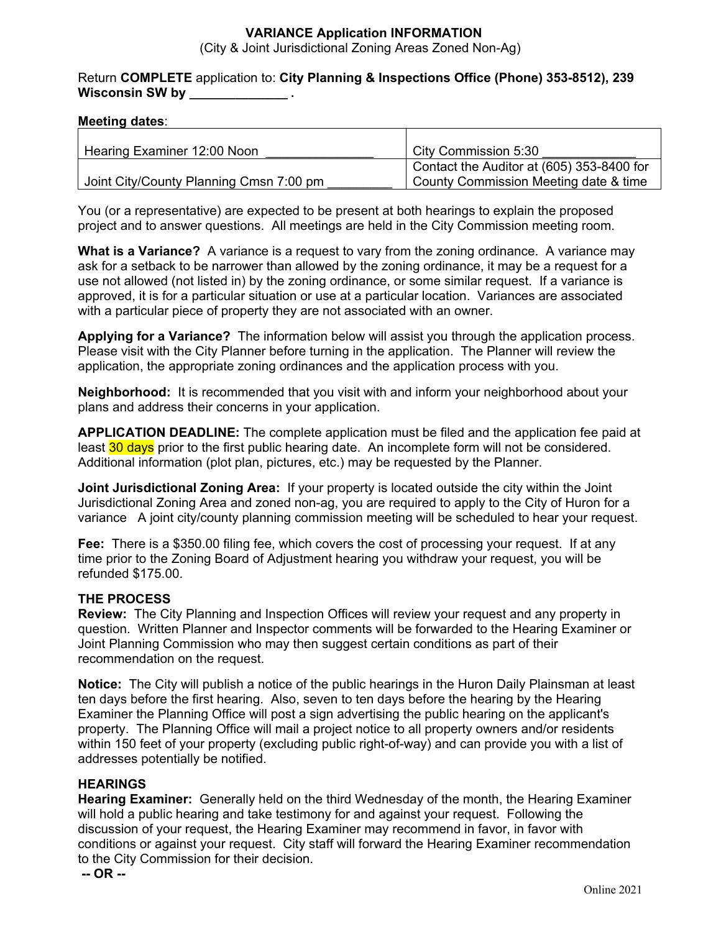## **VARIANCE Application INFORMATION**

(City & Joint Jurisdictional Zoning Areas Zoned Non-Ag)

## Return **COMPLETE** application to: **City Planning & Inspections Office (Phone) 353-8512), 239 Wisconsin SW by \_\_\_\_\_\_\_\_\_\_\_\_\_\_\_ .**

#### **Meeting dates**:

| Hearing Examiner 12:00 Noon             | City Commission 5:30                      |
|-----------------------------------------|-------------------------------------------|
|                                         | Contact the Auditor at (605) 353-8400 for |
| Joint City/County Planning Cmsn 7:00 pm | County Commission Meeting date & time     |

You (or a representative) are expected to be present at both hearings to explain the proposed project and to answer questions. All meetings are held in the City Commission meeting room.

**What is a Variance?** A variance is a request to vary from the zoning ordinance. A variance may ask for a setback to be narrower than allowed by the zoning ordinance, it may be a request for a use not allowed (not listed in) by the zoning ordinance, or some similar request. If a variance is approved, it is for a particular situation or use at a particular location. Variances are associated with a particular piece of property they are not associated with an owner.

**Applying for a Variance?** The information below will assist you through the application process. Please visit with the City Planner before turning in the application. The Planner will review the application, the appropriate zoning ordinances and the application process with you.

**Neighborhood:** It is recommended that you visit with and inform your neighborhood about your plans and address their concerns in your application.

**APPLICATION DEADLINE:** The complete application must be filed and the application fee paid at least 30 days prior to the first public hearing date. An incomplete form will not be considered. Additional information (plot plan, pictures, etc.) may be requested by the Planner.

**Joint Jurisdictional Zoning Area:** If your property is located outside the city within the Joint Jurisdictional Zoning Area and zoned non-ag, you are required to apply to the City of Huron for a variance A joint city/county planning commission meeting will be scheduled to hear your request.

**Fee:** There is a \$350.00 filing fee, which covers the cost of processing your request. If at any time prior to the Zoning Board of Adjustment hearing you withdraw your request, you will be refunded \$175.00.

#### **THE PROCESS**

**Review:** The City Planning and Inspection Offices will review your request and any property in question. Written Planner and Inspector comments will be forwarded to the Hearing Examiner or Joint Planning Commission who may then suggest certain conditions as part of their recommendation on the request.

**Notice:** The City will publish a notice of the public hearings in the Huron Daily Plainsman at least ten days before the first hearing. Also, seven to ten days before the hearing by the Hearing Examiner the Planning Office will post a sign advertising the public hearing on the applicant's property. The Planning Office will mail a project notice to all property owners and/or residents within 150 feet of your property (excluding public right-of-way) and can provide you with a list of addresses potentially be notified.

### **HEARINGS**

**Hearing Examiner:** Generally held on the third Wednesday of the month, the Hearing Examiner will hold a public hearing and take testimony for and against your request. Following the discussion of your request, the Hearing Examiner may recommend in favor, in favor with conditions or against your request. City staff will forward the Hearing Examiner recommendation to the City Commission for their decision.

 **-- OR --**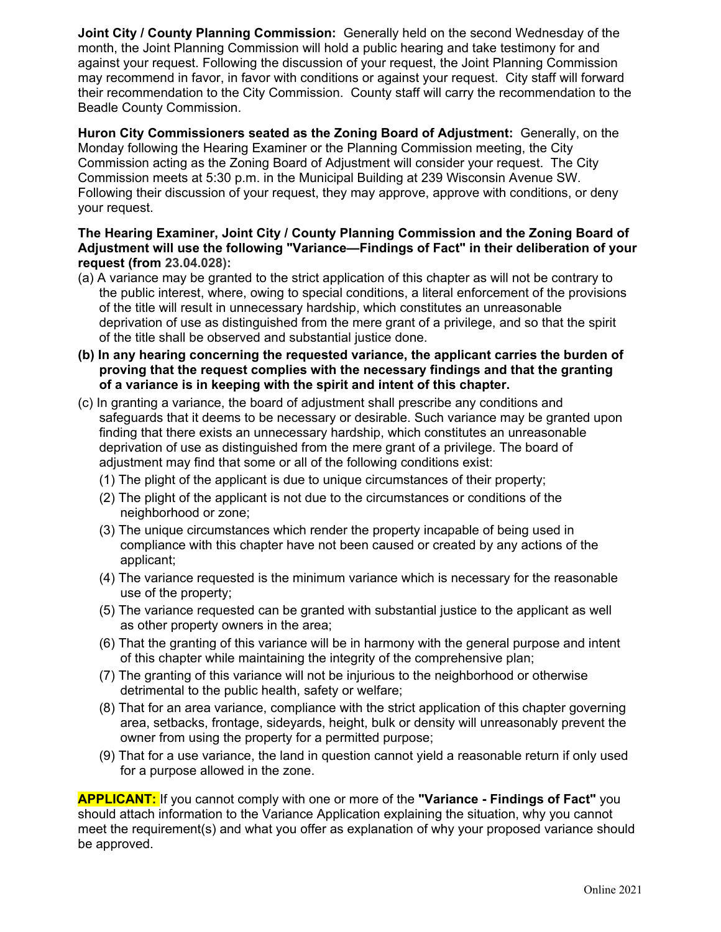**Joint City / County Planning Commission:** Generally held on the second Wednesday of the month, the Joint Planning Commission will hold a public hearing and take testimony for and against your request. Following the discussion of your request, the Joint Planning Commission may recommend in favor, in favor with conditions or against your request. City staff will forward their recommendation to the City Commission. County staff will carry the recommendation to the Beadle County Commission.

**Huron City Commissioners seated as the Zoning Board of Adjustment:** Generally, on the Monday following the Hearing Examiner or the Planning Commission meeting, the City Commission acting as the Zoning Board of Adjustment will consider your request. The City Commission meets at 5:30 p.m. in the Municipal Building at 239 Wisconsin Avenue SW. Following their discussion of your request, they may approve, approve with conditions, or deny your request.

## **The Hearing Examiner, Joint City / County Planning Commission and the Zoning Board of Adjustment will use the following "Variance—Findings of Fact" in their deliberation of your request (from 23.04.028):**

- (a) A variance may be granted to the strict application of this chapter as will not be contrary to the public interest, where, owing to special conditions, a literal enforcement of the provisions of the title will result in unnecessary hardship, which constitutes an unreasonable deprivation of use as distinguished from the mere grant of a privilege, and so that the spirit of the title shall be observed and substantial justice done.
- **(b) In any hearing concerning the requested variance, the applicant carries the burden of proving that the request complies with the necessary findings and that the granting of a variance is in keeping with the spirit and intent of this chapter.**
- (c) In granting a variance, the board of adjustment shall prescribe any conditions and safeguards that it deems to be necessary or desirable. Such variance may be granted upon finding that there exists an unnecessary hardship, which constitutes an unreasonable deprivation of use as distinguished from the mere grant of a privilege. The board of adjustment may find that some or all of the following conditions exist:
	- (1) The plight of the applicant is due to unique circumstances of their property;
	- (2) The plight of the applicant is not due to the circumstances or conditions of the neighborhood or zone;
	- (3) The unique circumstances which render the property incapable of being used in compliance with this chapter have not been caused or created by any actions of the applicant;
	- (4) The variance requested is the minimum variance which is necessary for the reasonable use of the property;
	- (5) The variance requested can be granted with substantial justice to the applicant as well as other property owners in the area;
	- (6) That the granting of this variance will be in harmony with the general purpose and intent of this chapter while maintaining the integrity of the comprehensive plan;
	- (7) The granting of this variance will not be injurious to the neighborhood or otherwise detrimental to the public health, safety or welfare;
	- (8) That for an area variance, compliance with the strict application of this chapter governing area, setbacks, frontage, sideyards, height, bulk or density will unreasonably prevent the owner from using the property for a permitted purpose;
	- (9) That for a use variance, the land in question cannot yield a reasonable return if only used for a purpose allowed in the zone.

**APPLICANT:** If you cannot comply with one or more of the **"Variance - Findings of Fact"** you should attach information to the Variance Application explaining the situation, why you cannot meet the requirement(s) and what you offer as explanation of why your proposed variance should be approved.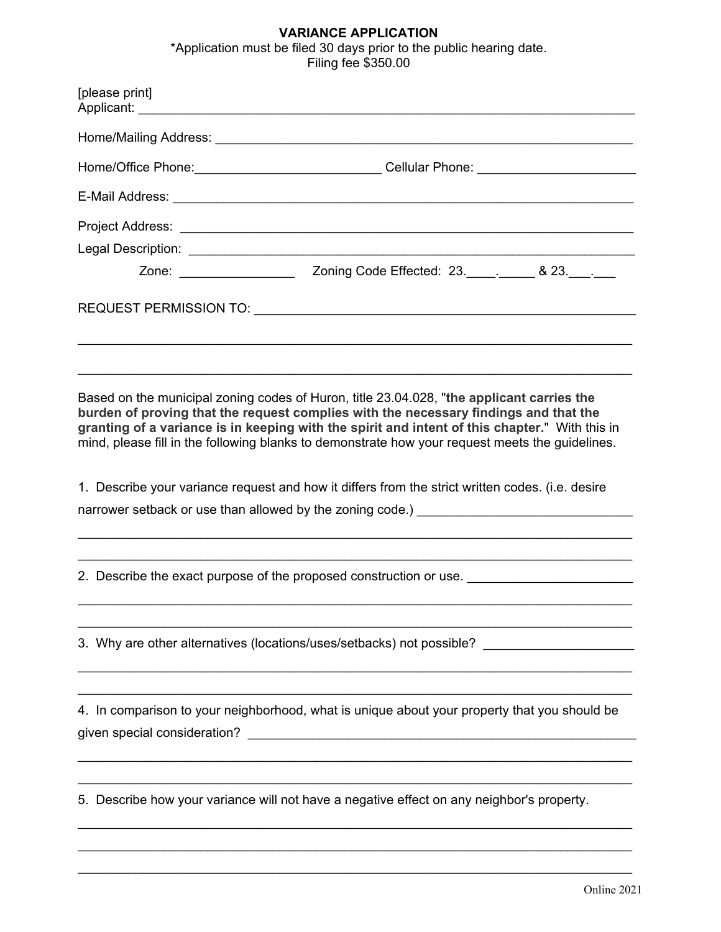# **VARIANCE APPLICATION**

\*Application must be filed 30 days prior to the public hearing date.

Filing fee \$350.00

| [please print]                                                                                                                                                                                                                                                                                                                                                                         |  |  |
|----------------------------------------------------------------------------------------------------------------------------------------------------------------------------------------------------------------------------------------------------------------------------------------------------------------------------------------------------------------------------------------|--|--|
|                                                                                                                                                                                                                                                                                                                                                                                        |  |  |
| Home/Office Phone: ________________________________Cellular Phone: ______________                                                                                                                                                                                                                                                                                                      |  |  |
|                                                                                                                                                                                                                                                                                                                                                                                        |  |  |
|                                                                                                                                                                                                                                                                                                                                                                                        |  |  |
|                                                                                                                                                                                                                                                                                                                                                                                        |  |  |
| Based on the municipal zoning codes of Huron, title 23.04.028, "the applicant carries the<br>burden of proving that the request complies with the necessary findings and that the<br>granting of a variance is in keeping with the spirit and intent of this chapter." With this in<br>mind, please fill in the following blanks to demonstrate how your request meets the guidelines. |  |  |
| 1. Describe your variance request and how it differs from the strict written codes. (i.e. desire<br>narrower setback or use than allowed by the zoning code.) _______________________                                                                                                                                                                                                  |  |  |
| 2. Describe the exact purpose of the proposed construction or use.                                                                                                                                                                                                                                                                                                                     |  |  |
| 3. Why are other alternatives (locations/uses/setbacks) not possible?                                                                                                                                                                                                                                                                                                                  |  |  |
| 4. In comparison to your neighborhood, what is unique about your property that you should be<br>given special consideration?<br><u> 1980 - Jan Barbara (j. 1980)</u>                                                                                                                                                                                                                   |  |  |
| 5. Describe how your variance will not have a negative effect on any neighbor's property.                                                                                                                                                                                                                                                                                              |  |  |

\_\_\_\_\_\_\_\_\_\_\_\_\_\_\_\_\_\_\_\_\_\_\_\_\_\_\_\_\_\_\_\_\_\_\_\_\_\_\_\_\_\_\_\_\_\_\_\_\_\_\_\_\_\_\_\_\_\_\_\_\_\_\_\_\_\_\_\_\_\_\_\_\_\_\_\_\_